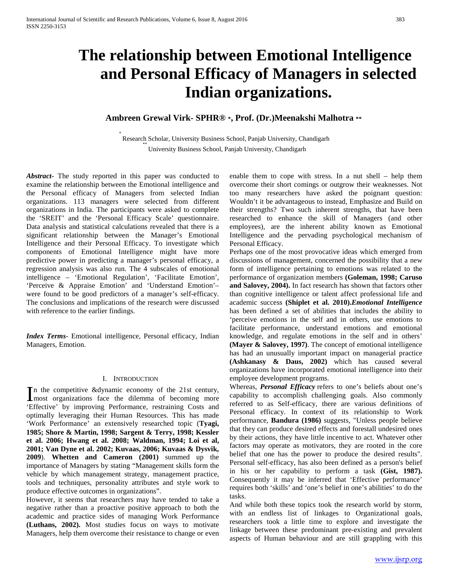# **The relationship between Emotional Intelligence and Personal Efficacy of Managers in selected Indian organizations.**

# **Ambreen Grewal Virk- SPHR® \*, Prof. (Dr.)Meenakshi Malhotra \*\***

\* Research Scholar, University Business School, Panjab University, Chandigarh University Business School, Panjab University, Chandigarh

*Abstract***-** The study reported in this paper was conducted to examine the relationship between the Emotional intelligence and the Personal efficacy of Managers from selected Indian organizations. 113 managers were selected from different organizations in India. The participants were asked to complete the 'SREIT' and the 'Personal Efficacy Scale' questionnaire. Data analysis and statistical calculations revealed that there is a significant relationship between the Manager's Emotional Intelligence and their Personal Efficacy. To investigate which components of Emotional Intelligence might have more predictive power in predicting a manager's personal efficacy, a regression analysis was also run. The 4 subscales of emotional intelligence – 'Emotional Regulation', 'Facilitate Emotion', 'Perceive & Appraise Emotion' and 'Understand Emotion'– were found to be good predictors of a manager's self-efficacy. The conclusions and implications of the research were discussed with reference to the earlier findings.

*Index Terms*- Emotional intelligence, Personal efficacy, Indian Managers, Emotion.

#### I. INTRODUCTION

n the competitive &dynamic economy of the 21st century, In the competitive &dynamic economy of the 21st century,<br>
most organizations face the dilemma of becoming more 'Effective' by improving Performance, restraining Costs and optimally leveraging their Human Resources. This has made 'Work Performance' an extensively researched topic (**Tyagi, 1985; Shore & Martin, 1998; Sargent & Terry, 1998; Kessler et al. 2006; Hwang et al. 2008; Waldman, 1994; Loi et al, 2001; Van Dyne et al. 2002; Kuvaas, 2006; Kuvaas & Dysvik, 2009**). **Whetten and Cameron (2001)** summed up the importance of Managers by stating "Management skills form the vehicle by which management strategy, management practice, tools and techniques, personality attributes and style work to produce effective outcomes in organizations".

However, it seems that researchers may have tended to take a negative rather than a proactive positive approach to both the academic and practice sides of managing Work Performance **(Luthans, 2002).** Most studies focus on ways to motivate Managers, help them overcome their resistance to change or even enable them to cope with stress. In a nut shell – help them overcome their short comings or outgrow their weaknesses. Not too many researchers have asked the poignant question: Wouldn't it be advantageous to instead, Emphasize and Build on their strengths? Two such inherent strengths, that have been researched to enhance the skill of Managers (and other employees), are the inherent ability known as Emotional Intelligence and the pervading psychological mechanism of Personal Efficacy.

Perhaps one of the most provocative ideas which emerged from discussions of management, concerned the possibility that a new form of intelligence pertaining to emotions was related to the performance of organization members **(Goleman, 1998; Caruso and Salovey, 2004).** In fact research has shown that factors other than cognitive intelligence or talent affect professional life and academic success **(Shiplet et al. 2010).***Emotional Intelligence* has been defined a set of abilities that includes the ability to 'perceive emotions in the self and in others, use emotions to facilitate performance, understand emotions and emotional knowledge, and regulate emotions in the self and in others' **(Mayer & Salovey, 1997)**. The concept of emotional intelligence has had an unusually important impact on managerial practice **(Ashkanasy & Daus, 2002)** which has caused **s**everal organizations have incorporated emotional intelligence into their employee development programs.

Whereas, *Personal Efficacy* refers to one's beliefs about one's capability to accomplish challenging goals. Also commonly referred to as Self-efficacy, there are various definitions of Personal efficacy. In context of its relationship to Work performance, **Bandura (1986)** suggests, "Unless people believe that they can produce desired effects and forestall undesired ones by their actions, they have little incentive to act. Whatever other factors may operate as motivators, they are rooted in the core belief that one has the power to produce the desired results". Personal self-efficacy, has also been defined as a person's belief in his or her capability to perform a task **(Gist, 1987).** Consequently it may be inferred that 'Effective performance' requires both 'skills' and 'one's belief in one's abilities' to do the tasks.

And while both these topics took the research world by storm, with an endless list of linkages to Organizational goals, researchers took a little time to explore and investigate the linkage between these predominant pre-existing and prevalent aspects of Human behaviour and are still grappling with this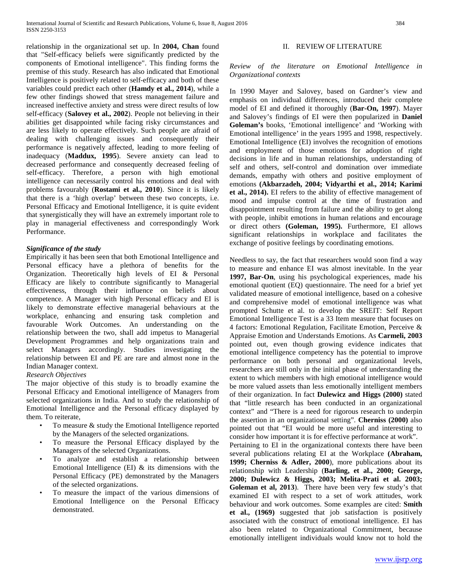relationship in the organizational set up. In **2004, Chan** found that "Self-efficacy beliefs were significantly predicted by the components of Emotional intelligence". This finding forms the premise of this study. Research has also indicated that Emotional Intelligence is positively related to self-efficacy and both of these variables could predict each other (**Hamdy et al., 2014**), while a few other findings showed that stress management failure and increased ineffective anxiety and stress were direct results of low self-efficacy (**Salovey et al., 2002**). People not believing in their abilities get disappointed while facing risky circumstances and are less likely to operate effectively. Such people are afraid of dealing with challenging issues and consequently their performance is negatively affected, leading to more feeling of inadequacy (**Maddux, 1995**). Severe anxiety can lead to decreased performance and consequently decreased feeling of self-efficacy. Therefore, a person with high emotional intelligence can necessarily control his emotions and deal with problems favourably (**Rostami et al., 2010**). Since it is likely that there is a 'high overlap' between these two concepts, i.e. Personal Efficacy and Emotional Intelligence, it is quite evident that synergistically they will have an extremely important role to play in managerial effectiveness and correspondingly Work Performance.

## *Significance of the study*

Empirically it has been seen that both Emotional Intelligence and Personal efficacy have a plethora of benefits for the Organization. Theoretically high levels of EI & Personal Efficacy are likely to contribute significantly to Managerial effectiveness, through their influence on beliefs about competence. A Manager with high Personal efficacy and EI is likely to demonstrate effective managerial behaviours at the workplace, enhancing and ensuring task completion and favourable Work Outcomes. An understanding on the relationship between the two, shall add impetus to Managerial Development Programmes and help organizations train and select Managers accordingly. Studies investigating the relationship between EI and PE are rare and almost none in the Indian Manager context.

## *Research Objectives*

The major objective of this study is to broadly examine the Personal Efficacy and Emotional intelligence of Managers from selected organizations in India. And to study the relationship of Emotional Intelligence and the Personal efficacy displayed by them. To reiterate,

- To measure & study the Emotional Intelligence reported by the Managers of the selected organizations.
- To measure the Personal Efficacy displayed by the Managers of the selected Organizations.
- To analyze and establish a relationship between Emotional Intelligence (EI)  $&$  its dimensions with the Personal Efficacy (PE) demonstrated by the Managers of the selected organizations.
- To measure the impact of the various dimensions of Emotional Intelligence on the Personal Efficacy demonstrated.

## II. REVIEW OF LITERATURE

*Review of the literature on Emotional Intelligence in Organizational contexts*

In 1990 Mayer and Salovey, based on Gardner's view and emphasis on individual differences, introduced their complete model of EI and defined it thoroughly (**Bar-On, 1997**). Mayer and Salovey's findings of EI were then popularized in **Daniel Goleman's** books, 'Emotional intelligence' and 'Working with Emotional intelligence' in the years 1995 and 1998, respectively. Emotional Intelligence (EI) involves the recognition of emotions and employment of those emotions for adoption of right decisions in life and in human relationships, understanding of self and others, self-control and domination over immediate demands, empathy with others and positive employment of emotions **(Akbarzadeh, 2004; Vidyarthi et al., 2014; Karimi et al., 2014).** EI refers to the ability of effective management of mood and impulse control at the time of frustration and disappointment resulting from failure and the ability to get along with people, inhibit emotions in human relations and encourage or direct others **(Goleman, 1995).** Furthermore, EI allows significant relationships in workplace and facilitates the exchange of positive feelings by coordinating emotions.

Needless to say, the fact that researchers would soon find a way to measure and enhance EI was almost inevitable. In the year **1997, Bar-On**, using his psychological experiences, made his emotional quotient (EQ) questionnaire. The need for a brief yet validated measure of emotional intelligence, based on a cohesive and comprehensive model of emotional intelligence was what prompted Schutte et al. to develop the SREIT: Self Report Emotional Intelligence Test is a 33 Item measure that focuses on 4 factors: Emotional Regulation, Facilitate Emotion, Perceive & Appraise Emotion and Understands Emotions. As **Carmeli, 2003** pointed out, even though growing evidence indicates that emotional intelligence competency has the potential to improve performance on both personal and organizational levels, researchers are still only in the initial phase of understanding the extent to which members with high emotional intelligence would be more valued assets than less emotionally intelligent members of their organization. In fact **Dulewicz and Higgs (2000)** stated that "little research has been conducted in an organizational context" and "There is a need for rigorous research to underpin the assertion in an organizational setting". **Cherniss (2000)** also pointed out that "EI would be more useful and interesting to consider how important it is for effective performance at work".

Pertaining to EI in the organizational contexts there have been several publications relating EI at the Workplace **(Abraham, 1999; Cherniss & Adler, 2000**), more publications about its relationship with Leadership (**Barling, et al., 2000; George, 2000; Dulewicz & Higgs, 2003; Melita-Prati et al. 2003; Goleman et al, 2013**). There have been very few study's that examined EI with respect to a set of work attitudes, work behaviour and work outcomes. Some examples are cited: **Smith et al., (1969)** suggested that job satisfaction is positively associated with the construct of emotional intelligence. EI has also been related to Organizational Commitment, because emotionally intelligent individuals would know not to hold the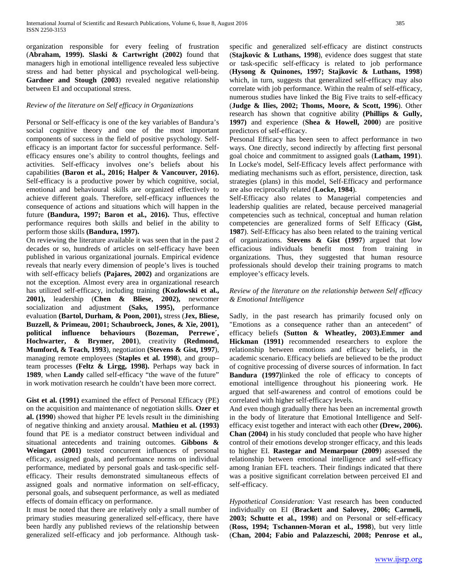organization responsible for every feeling of frustration (**Abraham, 1999). Slaski & Cartwright (2002)** found that managers high in emotional intelligence revealed less subjective stress and had better physical and psychological well-being. **Gardner and Stough (2003**) revealed negative relationship between EI and occupational stress.

## *Review of the literature on Self efficacy in Organizations*

Personal or Self-efficacy is one of the key variables of Bandura's social cognitive theory and one of the most important components of success in the field of positive psychology. Selfefficacy is an important factor for successful performance. Selfefficacy ensures one's ability to control thoughts, feelings and activities. Self-efficacy involves one's beliefs about his capabilities **(Baron et al., 2016; Halper & Vancouver, 2016).** Self-efficacy is a productive power by which cognitive, social, emotional and behavioural skills are organized effectively to achieve different goals. Therefore, self-efficacy influences the consequence of actions and situations which will happen in the future **(Bandura, 1997; Baron et al., 2016).** Thus, effective performance requires both skills and belief in the ability to perform those skills **(Bandura, 1997).**

On reviewing the literature available it was seen that in the past 2 decades or so, hundreds of articles on self-efficacy have been published in various organizational journals. Empirical evidence reveals that nearly every dimension of people's lives is touched with self-efficacy beliefs **(Pajares, 2002)** and organizations are not the exception. Almost every area in organizational research has utilized self-efficacy, including training **(Kozlowski et al., 2001),** leadership (**Chen & Bliese, 2002),** newcomer socialization and adjustment **(Saks, 1995),** performance evaluation **(Bartol, Durham, & Poon, 2001),** stress (**Jex, Bliese, Buzzell, & Primeau, 2001; Schaubroeck, Jones, & Xie, 2001), political influence behaviours (Bozeman, Perrewe´, Hochwarter, & Brymer, 2001**), creativity **(Redmond, Mumford, & Teach, 1993**), negotiation **(Stevens & Gist, 1997**), managing remote employees (**Staples et al. 1998**), and group– team processes **(Feltz & Lirgg, 1998).** Perhaps way back in **1989**, when **Landy** called self-efficacy "the wave of the future" in work motivation research he couldn't have been more correct.

**Gist et al. (1991)** examined the effect of Personal Efficacy (PE) on the acquisition and maintenance of negotiation skills. **Ozer et al. (1990**) showed that higher PE levels result iıı the diminishing of negative thinking and anxiety arousal. **Mathieu et al. (1993)** found that PE is a mediator construct between individual and situational antecedents and training outcomes. **Gibbons & Weingart (2001)** tested concurrent influences of personal efficacy, assigned goals, and performance norms on individual performance, mediated by personal goals and task-specific selfefficacy. Their results demonstrated simultaneous effects of assigned goals and normative information on self-efficacy, personal goals, and subsequent performance, as well as mediated effects of domain efficacy on performance.

It must be noted that there are relatively only a small number of primary studies measuring generalized self-efficacy, there have been hardly any published reviews of the relationship between generalized self-efficacy and job performance. Although taskspecific and generalized self-efficacy are distinct constructs (**Stajkovic & Luthans, 1998**), evidence does suggest that state or task-specific self-efficacy is related to job performance (**Hysong & Quinones, 1997; Stajkovic & Luthans, 1998**) which, in turn, suggests that generalized self-efficacy may also correlate with job performance. Within the realm of self-efficacy, numerous studies have linked the Big Five traits to self-efficacy (**Judge & Ilies, 2002; Thoms, Moore, & Scott, 1996**). Other research has shown that cognitive ability **(Phillips & Gully, 1997)** and experience (**Shea & Howell, 2000**) are positive predictors of self-efficacy.

Personal Efficacy has been seen to affect performance in two ways. One directly, second indirectly by affecting first personal goal choice and commitment to assigned goals (**Latham, 1991**). In Locke's model, Self-Efficacy levels affect performance with mediating mechanisms such as effort, persistence, direction, task strategies (plans) in this model, Self-Efficacy and performance are also reciprocally related (**Locke, 1984**).

Self-Efficacy also relates to Managerial competencies and leadership qualities are related, because perceived managerial competencies such as technical, conceptual and human relation competencies are generalized forms of Self Efficacy (**Gist, 1987**). Self-Efficacy has also been related to the training vertical of organizations. **Stevens & Gist (1997**) argued that low efficacious individuals benefit most from training in organizations. Thus, they suggested that human resource professionals should develop their training programs to match employee's efficacy levels.

## *Review of the literature on the relationship between Self efficacy & Emotional Intelligence*

Sadly, in the past research has primarily focused only on "Emotions as a consequence rather than an antecedent" of efficacy beliefs **(Sutton & Wheatley, 2003).Emmer and Hickman (1991)** recommended researchers to explore the relationship between emotions and efficacy beliefs, in the academic scenario. Efficacy beliefs are believed to be the product of cognitive processing of diverse sources of information. In fact **Bandura (1997)**linked the role of efficacy to concepts of emotional intelligence throughout his pioneering work. He argued that self-awareness and control of emotions could be correlated with higher self-efficacy levels.

And even though gradually there has been an incremental growth in the body of literature that Emotional Intelligence and Selfefficacy exist together and interact with each other **(Drew, 2006). Chan (2004)** in his study concluded that people who have higher control of their emotions develop stronger efficacy, and this leads to higher EI. **Rastegar and Memarpour (2009**) assessed the relationship between emotional intelligence and self-efficacy among Iranian EFL teachers. Their findings indicated that there was a positive significant correlation between perceived EI and self-efficacy.

*Hypothetical Consideration:* Vast research has been conducted individually on EI (**Brackett and Salovey, 2006; Carmeli, 2003; Schutte et al., 1998**) and on Personal or self-efficacy (**Ross, 1994; Tschannen-Moran et al., 1998**), but very little (**Chan, 2004; Fabio and Palazzeschi, 2008; Penrose et al.,**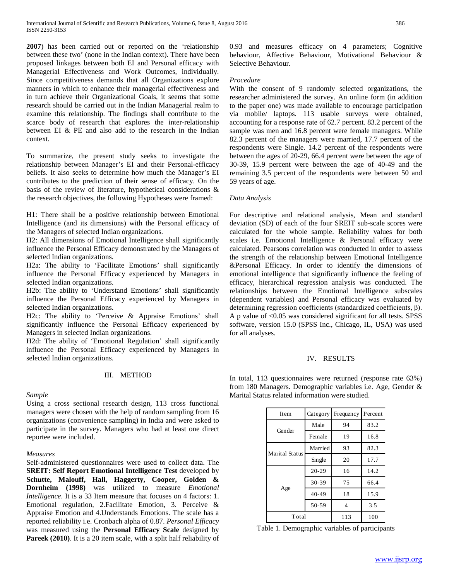**2007**) has been carried out or reported on the 'relationship between these two' (none in the Indian context). There have been proposed linkages between both EI and Personal efficacy with Managerial Effectiveness and Work Outcomes, individually. Since competitiveness demands that all Organizations explore manners in which to enhance their managerial effectiveness and in turn achieve their Organizational Goals, it seems that some research should be carried out in the Indian Managerial realm to examine this relationship. The findings shall contribute to the scarce body of research that explores the inter-relationship between EI & PE and also add to the research in the Indian context.

To summarize, the present study seeks to investigate the relationship between Manager's EI and their Personal-efficacy beliefs. It also seeks to determine how much the Manager's EI contributes to the prediction of their sense of efficacy. On the basis of the review of literature, hypothetical considerations & the research objectives, the following Hypotheses were framed:

H1: There shall be a positive relationship between Emotional Intelligence (and its dimensions) with the Personal efficacy of the Managers of selected Indian organizations.

H2: All dimensions of Emotional Intelligence shall significantly influence the Personal Efficacy demonstrated by the Managers of selected Indian organizations.

H2a: The ability to 'Facilitate Emotions' shall significantly influence the Personal Efficacy experienced by Managers in selected Indian organizations.

H2b: The ability to 'Understand Emotions' shall significantly influence the Personal Efficacy experienced by Managers in selected Indian organizations.

H2c: The ability to 'Perceive & Appraise Emotions' shall significantly influence the Personal Efficacy experienced by Managers in selected Indian organizations.

H2d: The ability of 'Emotional Regulation' shall significantly influence the Personal Efficacy experienced by Managers in selected Indian organizations.

## III. METHOD

## *Sample*

Using a cross sectional research design, 113 cross functional managers were chosen with the help of random sampling from 16 organizations (convenience sampling) in India and were asked to participate in the survey. Managers who had at least one direct reportee were included.

### *Measures*

Self-administered questionnaires were used to collect data. The **SREIT: Self Report Emotional Intelligence Test developed by Schutte, Malouff, Hall, Haggerty, Cooper, Golden & Dornheim (1998)** was utilized to measure *Emotional Intelligence*. It is a 33 Item measure that focuses on 4 factors: 1. Emotional regulation, 2.Facilitate Emotion, 3. Perceive & Appraise Emotion and 4.Understands Emotions. The scale has a reported reliability i.e. Cronbach alpha of 0.87. *Personal Efficacy* was measured using the **Personal Efficacy Scale** designed by **Pareek (2010)**. It is a 20 item scale, with a split half reliability of

0.93 and measures efficacy on 4 parameters; Cognitive behaviour, Affective Behaviour, Motivational Behaviour & Selective Behaviour.

## *Procedure*

With the consent of 9 randomly selected organizations, the researcher administered the survey. An online form (in addition to the paper one) was made available to encourage participation via mobile/ laptops. 113 usable surveys were obtained, accounting for a response rate of 62.7 percent. 83.2 percent of the sample was men and 16.8 percent were female managers. While 82.3 percent of the managers were married, 17.7 percent of the respondents were Single. 14.2 percent of the respondents were between the ages of 20-29, 66.4 percent were between the age of 30-39, 15.9 percent were between the age of 40-49 and the remaining 3.5 percent of the respondents were between 50 and 59 years of age.

## *Data Analysis*

For descriptive and relational analysis, Mean and standard deviation (SD) of each of the four SREIT sub-scale scores were calculated for the whole sample. Reliability values for both scales i.e. Emotional Intelligence & Personal efficacy were calculated. Pearsons correlation was conducted in order to assess the strength of the relationship between Emotional Intelligence &Personal Efficacy. In order to identify the dimensions of emotional intelligence that significantly influence the feeling of efficacy, hierarchical regression analysis was conducted. The relationships between the Emotional Intelligence subscales (dependent variables) and Personal efficacy was evaluated by determining regression coefficients (standardized coefficients, β). A p value of <0.05 was considered significant for all tests. SPSS software, version 15.0 (SPSS Inc., Chicago, IL, USA) was used for all analyses.

## IV. RESULTS

In total, 113 questionnaires were returned (response rate 63%) from 180 Managers. Demographic variables i.e. Age, Gender & Marital Status related information were studied.

| Item           | Category  | Frequency | Percent |
|----------------|-----------|-----------|---------|
| Gender         | Male      | 94        | 83.2    |
|                | Female    | 19        | 16.8    |
| Marital Status | Married   | 93        | 82.3    |
|                | Single    | 20        | 17.7    |
|                | $20 - 29$ | 16        | 14.2    |
|                | 30-39     | 75        | 66.4    |
| Age            | $40 - 49$ | 18        | 15.9    |
|                | 50-59     | 4         | 3.5     |
| Total          |           | 113       | 100     |

Table 1. Demographic variables of participants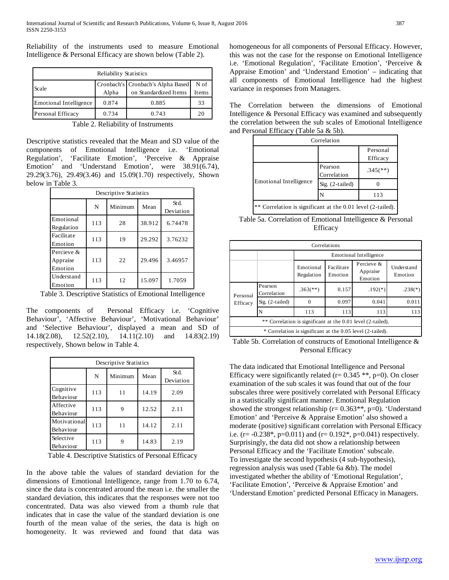Reliability of the instruments used to measure Emotional Intelligence & Personal Efficacy are shown below (Table 2).

| Reliability Statistics        |       |                                     |       |  |  |  |  |
|-------------------------------|-------|-------------------------------------|-------|--|--|--|--|
|                               |       | Cronbach's   Cronbach's Alpha Based | N of  |  |  |  |  |
| Scale                         | Alpha | on Standardized Items               | Items |  |  |  |  |
| <b>Emotional Intelligence</b> | 0.874 | 0.885                               | 33    |  |  |  |  |
| Personal Efficacy             | 0.734 | 0.743                               | 20    |  |  |  |  |

Table 2. Reliability of Instruments

Descriptive statistics revealed that the Mean and SD value of the components of Emotional Intelligence i.e. 'Emotional Regulation', 'Facilitate Emotion', 'Perceive & Appraise Emotion' and 'Understand Emotion', were 38.91(6.74), 29.29(3.76), 29.49(3.46) and 15.09(1.70) respectively, Shown below in Table 3.

| Descriptive Statistics            |     |         |        |                   |  |  |  |  |
|-----------------------------------|-----|---------|--------|-------------------|--|--|--|--|
|                                   | N   | Minimum | Mean   | Std.<br>Deviation |  |  |  |  |
| Emotional<br>Regulation           | 113 | 28      | 38.912 | 6.74478           |  |  |  |  |
| Facilitate<br>Emotion             | 113 | 19      | 29.292 | 3.76232           |  |  |  |  |
| Percieve &<br>Appraise<br>Emotion | 113 | 22      | 29.496 | 3.46957           |  |  |  |  |
| Understand<br>Emotion             | 113 | 12      | 15.097 | 1.7059            |  |  |  |  |

Table 3. Descriptive Statistics of Emotional Intelligence

The components of Personal Efficacy i.e. 'Cognitive Behaviour', 'Affective Behaviour', 'Motivational Behaviour' and 'Selective Behaviour', displayed a mean and SD of 14.18(2.08), 12.52(2.10), 14.11(2.10) and 14.83(2.19) respectively, Shown below in Table 4.

| Descriptive Statistics        |                      |    |       |      |  |  |  |  |
|-------------------------------|----------------------|----|-------|------|--|--|--|--|
|                               | Minimum<br>N<br>Mean |    |       |      |  |  |  |  |
| Cognitive<br>Behaviour        | 113                  | 11 | 14.19 | 2.09 |  |  |  |  |
| Affective<br>Behaviour        | 113                  |    | 12.52 | 2.11 |  |  |  |  |
| Motivational<br>Behaviour     | 113                  | 11 | 14.12 | 2.11 |  |  |  |  |
| Selective<br><b>Behaviour</b> | 113                  |    | 14.83 | 2.19 |  |  |  |  |

Table 4. Descriptive Statistics of Personal Efficacy

In the above table the values of standard deviation for the dimensions of Emotional Intelligence, range from 1.70 to 6.74, since the data is concentrated around the mean i.e. the smaller the standard deviation, this indicates that the responses were not too concentrated. Data was also viewed from a thumb rule that indicates that in case the value of the standard deviation is one fourth of the mean value of the series, the data is high on homogeneity. It was reviewed and found that data was

homogeneous for all components of Personal Efficacy. However, this was not the case for the response on Emotional Intelligence i.e. 'Emotional Regulation', 'Facilitate Emotion', 'Perceive & Appraise Emotion' and 'Understand Emotion' – indicating that all components of Emotional Intelligence had the highest variance in responses from Managers.

The Correlation between the dimensions of Emotional Intelligence & Personal Efficacy was examined and subsequently the correlation between the sub scales of Emotional Intelligence and Personal Efficacy (Table 5a & 5b).

| Correlation                                                 |                        |                        |  |  |  |
|-------------------------------------------------------------|------------------------|------------------------|--|--|--|
| Personal<br>Efficacy                                        |                        |                        |  |  |  |
| <b>Emotional Intelligence</b>                               | Pearson<br>Correlation | $.345$ <sup>**</sup> ) |  |  |  |
|                                                             | Sig. $(2-tailed)$      |                        |  |  |  |
|                                                             |                        | 113                    |  |  |  |
| ** Correlation is significant at the 0.01 level (2-tailed). |                        |                        |  |  |  |

Table 5a. Correlation of Emotional Intelligence & Personal Efficacy

| Correlations                                                  |                        |                          |                               |           |           |  |  |
|---------------------------------------------------------------|------------------------|--------------------------|-------------------------------|-----------|-----------|--|--|
|                                                               |                        |                          | <b>Emotional Intelligence</b> |           |           |  |  |
|                                                               |                        | Emotional<br>Regulation  | Understand<br>Emotion         |           |           |  |  |
| Personal<br>Efficacy                                          | Pearson<br>Correlation | $.363$ <sup>(**)</sup> ) | 0.157                         | $.192(*)$ | $.238(*)$ |  |  |
|                                                               | $Sig.$ (2-tailed)      |                          | 0.097                         | 0.041     | 0.011     |  |  |
|                                                               | N                      | 113                      | 113                           | 113       | 113       |  |  |
| ** Correlation is significant at the 0.01 level (2-tailed).   |                        |                          |                               |           |           |  |  |
| Correlation is significant at the 0.05 level (2-tailed).<br>* |                        |                          |                               |           |           |  |  |

Table 5b. Correlation of constructs of Emotional Intelligence & Personal Efficacy

The data indicated that Emotional Intelligence and Personal Efficacy were significantly related ( $r = 0.345$  \*\*,  $p=0$ ). On closer examination of the sub scales it was found that out of the four subscales three were positively correlated with Personal Efficacy in a statistically significant manner. Emotional Regulation showed the strongest relationship ( $r= 0.363**$ ,  $p=0$ ). 'Understand Emotion' and 'Perceive & Appraise Emotion' also showed a moderate (positive) significant correlation with Personal Efficacy i.e. (r=  $-0.238^*$ , p=0.011) and (r= 0.192 $^*$ , p=0.041) respectively. Surprisingly, the data did not show a relationship between Personal Efficacy and the 'Facilitate Emotion' subscale. To investigate the second hypothesis (4 sub-hypothesis), regression analysis was used (Table 6a &b). The model investigated whether the ability of 'Emotional Regulation', 'Facilitate Emotion', 'Perceive & Appraise Emotion' and 'Understand Emotion' predicted Personal Efficacy in Managers.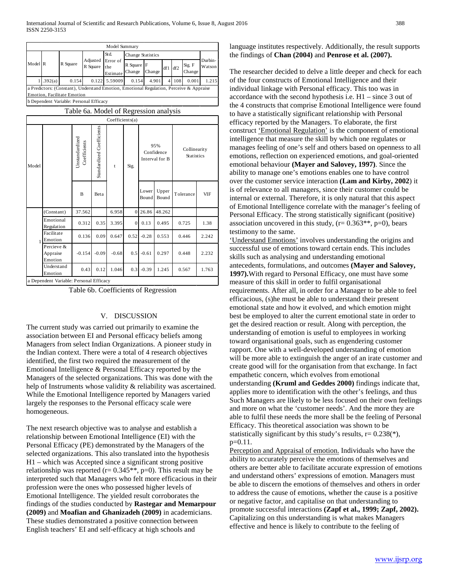| Model Summary                                                                           |                             |          |                      |                             |                      |        |     |     |                         |                   |
|-----------------------------------------------------------------------------------------|-----------------------------|----------|----------------------|-----------------------------|----------------------|--------|-----|-----|-------------------------|-------------------|
|                                                                                         |                             |          |                      | St d.                       | Change Statistics    |        |     |     |                         |                   |
| Model R                                                                                 |                             | R Square | Adjusted<br>R Square | Error of<br>the<br>Estimate | R Square F<br>Change | Change | df1 | df2 | Sig. F<br><b>Change</b> | Durbin-<br>Watson |
|                                                                                         | .392(a)                     | 0.154    | 0.122                | 5.59009                     | 0.154                | 4.901  | 41  | 108 | 0.001                   | 1.215             |
| a Predictors: (Constant), Understand Emotion, Emotional Regulation, Perceive & Appraise |                             |          |                      |                             |                      |        |     |     |                         |                   |
|                                                                                         | Emotion, Facilitate Emotion |          |                      |                             |                      |        |     |     |                         |                   |

b Dependent Variable: Personal Efficacy

|              | Table 6a. Model of Regression analysis  |                                |                           |                 |          |                                     |                |                                   |            |
|--------------|-----------------------------------------|--------------------------------|---------------------------|-----------------|----------|-------------------------------------|----------------|-----------------------------------|------------|
|              |                                         |                                |                           | Coefficients(a) |          |                                     |                |                                   |            |
| Model        |                                         | Unstandardized<br>Coefficients | Standardized Coefficients | t               | Sig.     | 95%<br>Confidence<br>Interval for B |                | Collinearity<br><b>Statistics</b> |            |
|              |                                         | B                              | Beta                      |                 |          | Lower<br>Bound                      | Upper<br>Bound | Tolerance                         | <b>VIF</b> |
|              | (Constant)                              | 37.562                         |                           | 6.958           | $\Omega$ | 26.86                               | 48.262         |                                   |            |
|              | Emotional<br>Regulation                 | 0.312                          | 0.35                      | 3.395           | $\Omega$ | 0.13                                | 0.495          | 0.725                             | 1.38       |
| $\mathbf{1}$ | Facilitate<br>Emotion                   | 0.136                          | 0.09                      | 0.647           | 0.52     | $-0.28$                             | 0.553          | 0.446                             | 2.242      |
|              | Percieve &<br>Appraise<br>Emotion       | $-0.154$                       | $-0.09$                   | $-0.68$         | 0.5      | $-0.61$                             | 0.297          | 0.448                             | 2.232      |
|              | Understand<br>Emotion                   | 0.43                           | 0.12                      | 1.046           | 0.3      | $-0.39$                             | 1.245          | 0.567                             | 1.763      |
|              | a Dependent Variable: Personal Efficacy |                                |                           |                 |          |                                     |                |                                   |            |

Table 6b. Coefficients of Regression

## V. DISCUSSION

The current study was carried out primarily to examine the association between EI and Personal efficacy beliefs among Managers from select Indian Organizations. A pioneer study in the Indian context. There were a total of 4 research objectives identified, the first two required the measurement of the Emotional Intelligence & Personal Efficacy reported by the Managers of the selected organizations. This was done with the help of Instruments whose validity & reliability was ascertained. While the Emotional Intelligence reported by Managers varied largely the responses to the Personal efficacy scale were homogeneous.

The next research objective was to analyse and establish a relationship between Emotional Intelligence (EI) with the Personal Efficacy (PE) demonstrated by the Managers of the selected organizations. This also translated into the hypothesis H1 – which was Accepted since a significant strong positive relationship was reported ( $r= 0.345**$ ,  $p=0$ ). This result may be interpreted such that Managers who felt more efficacious in their profession were the ones who possessed higher levels of Emotional Intelligence. The yielded result corroborates the findings of the studies conducted by **Rastegar and Memarpour (2009)** and **Moafian and Ghanizadeh (2009)** in academicians. These studies demonstrated a positive connection between English teachers' EI and self-efficacy at high schools and

## language institutes respectively. Additionally, the result supports the findings of **Chan (2004)** and **Penrose et al. (2007).**

The researcher decided to delve a little deeper and check for each of the four constructs of Emotional Intelligence and their individual linkage with Personal efficacy. This too was in accordance with the second hypothesis i.e. H1 – since 3 out of the 4 constructs that comprise Emotional Intelligence were found to have a statistically significant relationship with Personal efficacy reported by the Managers. To elaborate, the first construct 'Emotional Regulation' is the component of emotional intelligence that measure the skill by which one regulates or manages feeling of one's self and others based on openness to all emotions, reflection on experienced emotions, and goal-oriented emotional behaviour **(Mayer and Salovey, 1997)**. Since the ability to manage one's emotions enables one to have control over the customer service interaction **(Lam and Kirby, 2002**) it is of relevance to all managers, since their customer could be internal or external. Therefore, it is only natural that this aspect of Emotional Intelligence correlate with the manager's feeling of Personal Efficacy. The strong statistically significant (positive) association uncovered in this study,  $(r= 0.363**, p=0)$ , bears testimony to the same.

'Understand Emotions' involves understanding the origins and successful use of emotions toward certain ends. This includes skills such as analysing and understanding emotional antecedents, formulations, and outcomes **(Mayer and Salovey, 1997).**With regard to Personal Efficacy, one must have some measure of this skill in order to fulfil organisational requirements. After all, in order for a Manager to be able to feel efficacious, (s)he must be able to understand their present emotional state and how it evolved, and which emotion might best be employed to alter the current emotional state in order to get the desired reaction or result. Along with perception, the understanding of emotion is useful to employees in working toward organisational goals, such as engendering customer rapport. One with a well-developed understanding of emotion will be more able to extinguish the anger of an irate customer and create good will for the organisation from that exchange. In fact empathetic concern, which evolves from emotional understanding **(Kruml and Geddes 2000)** findings indicate that, applies more to identification with the other's feelings, and thus Such Managers are likely to be less focused on their own feelings and more on what the 'customer needs'. And the more they are able to fulfil these needs the more shall be the feeling of Personal Efficacy. This theoretical association was shown to be statistically significant by this study's results,  $r = 0.238$ <sup>(\*)</sup>), p=0.11.

Perception and Appraisal of emotion. Individuals who have the ability to accurately perceive the emotions of themselves and others are better able to facilitate accurate expression of emotions and understand others' expressions of emotion. Managers must be able to discern the emotions of themselves and others in order to address the cause of emotions, whether the cause is a positive or negative factor, and capitalise on that understanding to promote successful interactions **(Zapf et al., 1999; Zapf, 2002).**  Capitalizing on this understanding is what makes Managers effective and hence is likely to contribute to the feeling of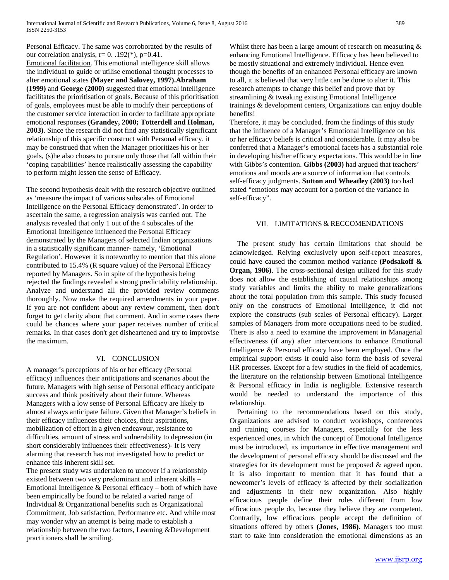Personal Efficacy. The same was corroborated by the results of our correlation analysis,  $r= 0$ . .192(\*),  $p=0.41$ .

Emotional facilitation. This emotional intelligence skill allows the individual to guide or utilise emotional thought processes to alter emotional states **(Mayer and Salovey, 1997).Abraham (1999)** and **George (2000)** suggested that emotional intelligence facilitates the prioritisation of goals. Because of this prioritisation of goals, employees must be able to modify their perceptions of the customer service interaction in order to facilitate appropriate emotional responses **(Grandey, 2000; Totterdell and Holman, 2003)**. Since the research did not find any statistically significant relationship of this specific construct with Personal efficacy, it may be construed that when the Manager prioritizes his or her goals, (s)he also choses to pursue only those that fall within their 'coping capabilities' hence realistically assessing the capability to perform might lessen the sense of Efficacy.

The second hypothesis dealt with the research objective outlined as 'measure the impact of various subscales of Emotional Intelligence on the Personal Efficacy demonstrated'. In order to ascertain the same, a regression analysis was carried out. The analysis revealed that only 1 out of the 4 subscales of the Emotional Intelligence influenced the Personal Efficacy demonstrated by the Managers of selected Indian organizations in a statistically significant manner- namely, 'Emotional Regulation'. However it is noteworthy to mention that this alone contributed to 15.4% (R square value) of the Personal Efficacy reported by Managers. So in spite of the hypothesis being rejected the findings revealed a strong predictability relationship. Analyze and understand all the provided review comments thoroughly. Now make the required amendments in your paper. If you are not confident about any review comment, then don't forget to get clarity about that comment. And in some cases there could be chances where your paper receives number of critical remarks. In that cases don't get disheartened and try to improvise the maximum.

## VI. CONCLUSION

A manager's perceptions of his or her efficacy (Personal efficacy) influences their anticipations and scenarios about the future. Managers with high sense of Personal efficacy anticipate success and think positively about their future. Whereas Managers with a low sense of Personal Efficacy are likely to almost always anticipate failure. Given that Manager's beliefs in their efficacy influences their choices, their aspirations, mobilization of effort in a given endeavour, resistance to difficulties, amount of stress and vulnerability to depression (in short considerably influences their effectiveness)- It is very alarming that research has not investigated how to predict or enhance this inherent skill set.

The present study was undertaken to uncover if a relationship existed between two very predominant and inherent skills – Emotional Intelligence & Personal efficacy – both of which have been empirically be found to be related a varied range of Individual & Organizational benefits such as Organizational Commitment, Job satisfaction, Performance etc. And while most may wonder why an attempt is being made to establish a relationship between the two factors, Learning &Development practitioners shall be smiling.

Whilst there has been a large amount of research on measuring  $\&$ enhancing Emotional Intelligence. Efficacy has been believed to be mostly situational and extremely individual. Hence even though the benefits of an enhanced Personal efficacy are known to all, it is believed that very little can be done to alter it. This research attempts to change this belief and prove that by streamlining & tweaking existing Emotional Intelligence trainings & development centers, Organizations can enjoy double benefits!

Therefore, it may be concluded, from the findings of this study that the influence of a Manager's Emotional Intelligence on his or her efficacy beliefs is critical and considerable. It may also be conferred that a Manager's emotional facets has a substantial role in developing his/her efficacy expectations. This would be in line with Gibbs's contention. **Gibbs (2003)** had argued that teachers' emotions and moods are a source of information that controls self-efficacy judgments. **Sutton and Wheatley (2003)** too had stated "emotions may account for a portion of the variance in self-efficacy".

## VII. LIMITATIONS & RECCOMENDATIONS

The present study has certain limitations that should be acknowledged. Relying exclusively upon self-report measures, could have caused the common method variance **(Podsakoff & Organ, 1986)**. The cross-sectional design utilized for this study does not allow the establishing of causal relationships among study variables and limits the ability to make generalizations about the total population from this sample. This study focused only on the constructs of Emotional Intelligence, it did not explore the constructs (sub scales of Personal efficacy). Larger samples of Managers from more occupations need to be studied. There is also a need to examine the improvement in Managerial effectiveness (if any) after interventions to enhance Emotional Intelligence & Personal efficacy have been employed. Once the empirical support exists it could also form the basis of several HR processes. Except for a few studies in the field of academics, the literature on the relationship between Emotional Intelligence & Personal efficacy in India is negligible. Extensive research would be needed to understand the importance of this relationship.

Pertaining to the recommendations based on this study, Organizations are advised to conduct workshops, conferences and training courses for Managers, especially for the less experienced ones, in which the concept of Emotional Intelligence must be introduced, its importance in effective management and the development of personal efficacy should be discussed and the strategies for its development must be proposed & agreed upon. It is also important to mention that it has found that a newcomer's levels of efficacy is affected by their socialization and adjustments in their new organization. Also highly efficacious people define their roles different from low efficacious people do, because they believe they are competent. Contrarily, low efficacious people accept the definition of situations offered by others **(Jones, 1986).** Managers too must start to take into consideration the emotional dimensions as an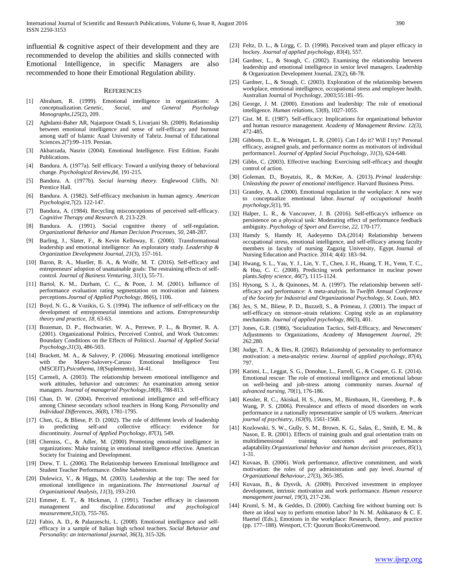influential & cognitive aspect of their development and they are recommended to develop the abilities and skills connected with Emotional Intelligence, in specific Managers are also recommended to hone their Emotional Regulation ability.

#### **REFERENCES**

- [1] Abraham, R. (1999). Emotional intelligence in organizations: A conceptualization. *Genetic, Social, and General Psychology Monographs*,*125*(2), 209.
- [2] Aghdami-Baher AR, Najarpoor Ostadi S, Livarjani Sh. (2009). Relationship between emotional intelligence and sense of self-efficacy and burnout among staff of Islamic Azad University of Tabriz. Journal of Educational Sciences.2(7):99–119. Persian.
- [3] Akbarzada, Nasrin (2004). Emotional Intelligence. First Edition. Farabi Publications.
- [4] Bandura. A. (1977a). Self efficacy: Toward a unifying theory of behavioral change. *Psychological Review,84,* 191-215.
- [5] Bandura. A. (1977b). *Social learning theory.* Englewood Cliffs, NJ: Prentice Hall.
- [6] Bandura. A. (1982). Self-efficacy mechanism in human agency. *American Psychologist,*7(2). 122-147.
- [7] Bandura, A. (1984). Recycling misconceptions of perceived self-efficacy. *Cognitive Therapy and Research. 8,* 213-229.
- [8] Bandura. A. (1991). Social cognitive theory of self-regulation. *Organizational Behavior and Human Decision Processes, 50,* 248-287.
- [9] Barling, J., Slater, F., & Kevin Kelloway, E. (2000). Transformational leadership and emotional intelligence: An exploratory study. *Leadership & Organization Development Journal*, *21*(3), 157-161.
- [10] Baron, R. A., Mueller, B. A., & Wolfe, M. T. (2016). Self-efficacy and entrepreneurs' adoption of unattainable goals: The restraining effects of selfcontrol. *Journal of Business Venturing*, *31*(1), 55-71.
- [11] Bartol, K. M., Durham, C. C., & Poon, J. M. (2001). Influence of performance evaluation rating segmentation on motivation and fairness perceptions.*Journal of Applied Psychology*, *86*(6), 1106.
- [12] Boyd, N. G., & Vozikis, G. S. (1994). The influence of self-efficacy on the development of entrepreneurial intentions and actions. *Entrepreneurship theory and practice*, *18*, 63-63.
- [13] Bozeman, D. P., Hochwarier, W. A., Perrewe, P. L., & Brymer, R. A. (2001). Organizational Politics, Perceived Control, and Work Outcomes: Boundary Conditions on the Effects of Politics1. *Journal of Applied Social Psychology*,*31*(3), 486-503.
- [14] Brackett, M. A., & Salovey, P. (2006). Measuring emotional intelligence with the Mayer-Salovery-Caruso Emotional Intelligence Test (MSCEIT).*Psicothema*, *18*(Suplemento), 34-41.
- [15] Carmeli, A. (2003). The relationship between emotional intelligence and work attitudes, behavior and outcomes: An examination among senior managers. *Journal of managerial Psychology*,*18*(8), 788-813.
- [16] Chan, D. W. (2004). Perceived emotional intelligence and self-efficacy among Chinese secondary school teachers in Hong Kong. *Personality and Individual Differences*, *36*(8), 1781-1795.
- [17] Chen, G., & Bliese, P. D. (2002). The role of different levels of leadership in predicting self-and collective efficacy: evidence for discontinuity. *Journal of Applied Psychology*, *87*(3), 549.
- [18] Cherniss, C., & Adler, M. (2000). Promoting emotional intelligence in organizations: Make training in emotional intelligence effective. American Society for Training and Development.
- [19] Drew, T. L. (2006). The Relationship between Emotional Intelligence and Student Teacher Performance. *Online Submission*.
- [20] Dulewicz, V., & Higgs, M. (2003). Leadership at the top: The need for emotional intelligence in organizations. *The International Journal of Organizational Analysis*, *11*(3), 193-210.
- [21] Emmer, E. T., & Hickman, J. (1991). Teacher efficacy in classroom management and discipline. *Educational and psychological* management and discipline. *Educational and measurement*,*51*(3), 755-765.
- [22] Fabio, A. D., & Palazzeschi, L. (2008). Emotional intelligence and selfefficacy in a sample of Italian high school teachers. *Social Behavior and Personality: an international journal*, *36*(3), 315-326.
- [23] Feltz, D. L., & Lirgg, C. D. (1998). Perceived team and player efficacy in hockey. *Journal of applied psychology*, *83*(4), 557.
- [24] Gardner, L., & Stough, C. (2002). Examining the relationship between leadership and emotional intelligence in senior level managers. Leadership & Organization Development Journal, 23(2), 68-78.
- [25] Gardner, L., & Stough, C. (2003). Exploration of the relationship between workplace, emotional intelligence, occupational stress and employee health. Australian Journal of Psychology, 2003;55:181–95.
- [26] George, J. M. (2000). Emotions and leadership: The role of emotional intelligence. *Human relations*, *53*(8), 1027-1055.
- [27] Gist. M. E. (1987). Self-efficacy: Implications for organizational behavior and human resource management. *Academy of Management Review. 12(3),*  472-485.
- [28] Gibbons, D. E., & Weingart, L. R. (2001). Can I do it? Will I try? Personal efficacy, assigned goals, and performance norms as motivators of individual performance1. *Journal of Applied Social Psychology*, *31*(3), 624-648.
- [29] Gibbs, C. (2003). Effective teaching: Exercising self-efficacy and thought control of action.
- [30] Goleman, D., Boyatzis, R., & McKee, A. (2013). *Primal leadership: Unleashing the power of emotional intelligence*. Harvard Business Press.
- [31] Grandey, A. A. (2000). Emotional regulation in the workplace: A new way to conceptualize emotional labor. *Journal of occupational health psychology*,*5*(1), 95.
- [32] Halper, L. R., & Vancouver, J. B. (2016). Self-efficacy's influence on persistence on a physical task: Moderating effect of performance feedback ambiguity. *Psychology of Sport and Exercise*, *22*, 170-177.
- [33] Hamdy S, Hamdy H, Aadeyemo DA.(2014) Relationship between occupational stress, emotional intelligence, and self-efficacy among faculty members in faculty of nursing Zagazig University, Egypt. Journal of Nursing Education and Practice. 2014; 4(4): 183–94.
- [34] Hwang, S. L., Yau, Y. J., Lin, Y. T., Chen, J. H., Huang, T. H., Yenn, T. C., & Hsu, C. C. (2008). Predicting work performance in nuclear power plants.*Safety science*, *46*(7), 1115-1124.
- [35] Hysong, S. J., & Quinones, M. A. (1997). The relationship between selfefficacy and performance: A meta-analysis. In *Twelfth Annual Conference of the Society for Industrial and Organizational Psychology, St. Louis, MO*.
- [36] Jex, S. M., Bliese, P. D., Buzzell, S., & Primeau, J. (2001). The impact of self-efficacy on stressor–strain relations: Coping style as an explanatory mechanism. *Journal of applied psychology*, *86*(3), 401.
- [37] Jones, G.R. (1986), 'Socialization Tactics, Self-Efficacy, and Newcomers' Adjustments to Organizations, *Academy of Management Journal,* 29: 262.280.
- [38] Judge, T. A., & Ilies, R. (2002). Relationship of personality to performance motivation: a meta-analytic review. *Journal of applied psychology*, *87*(4), 797.
- [39] Karimi, L., Leggat, S. G., Donohue, L., Farrell, G., & Couper, G. E. (2014). Emotional rescue: The role of emotional intelligence and emotional labour on well‐being and job‐stress among community nurses. *Journal of advanced nursing*, *70*(1), 176-186.
- [40] Kessler, R. C., Akiskal, H. S., Ames, M., Birnbaum, H., Greenberg, P., & Wang, P. S. (2006). Prevalence and effects of mood disorders on work performance in a nationally representative sample of US workers. *American journal of psychiatry*, *163*(9), 1561-1568.
- [41] Kozlowski, S. W., Gully, S. M., Brown, K. G., Salas, E., Smith, E. M., & Nason, E. R. (2001). Effects of training goals and goal orientation traits on multidimensional training outcomes and performance adaptability.*Organizational behavior and human decision processes*, *85*(1), 1-31.
- [42] Kuvaas, B. (2006). Work performance, affective commitment, and work motivation: the roles of pay administration and pay level. *Journal of Organizational Behaviour*, *27*(3), 365-385.
- [43] Kuvaas, B., & Dysvik, A. (2009). Perceived investment in employee development, intrinsic motivation and work performance. *Human resource management journal*, *19*(3), 217-236.
- [44] Kruml, S. M., & Geddes, D. (2000). Catching fire without burning out: Is there an ideal way to perform emotion labor? In N. M. Ashkanasy & C. E. Haertel (Eds.), Emotions in the workplace: Research, theory, and practice (pp. 177–188). Westport, CT: Quorum Books/Greenwood.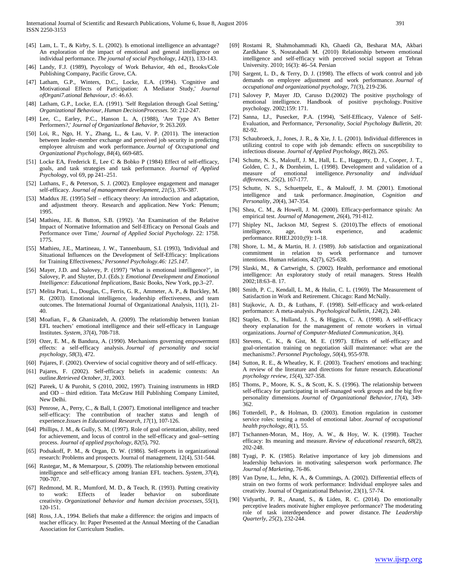- [45] Lam, L. T., & Kirby, S. L. (2002). Is emotional intelligence an advantage? An exploration of the impact of emotional and general intelligence on individual performance. *The journal of social Psychology*, *142*(1), 133-143.
- [46] Landy, F.J. (1989), Psycology of Work Behavior, 4th ed., Brooks/Cole Publishing Company, Pacific Grove, CA.
- [47] Latham, G.P., Winters, D.C., Locke, E.A. (1994). 'Cognitive and Motivational Effects of Participation: A Mediator Study,' *Journal ofOrgani7.ational Behaviour,* ı5: 46.63.
- [48] Latham, G.P., Locke, E.A. (1991). 'Self Regulation through Goal Setting,' *Organizational Behaviour, Human DecisionProcesses.* 50: 212-247.
- [49] Lee, C., Earley, P.C., Hanson L. A, (1988), 'Are Type A's Better Performers?,' *Journal of Organizatlonal Behavior,* 9: 263.269.
- [50] Loi, R., Ngo, H. Y., Zhang, L., & Lau, V. P. (2011). The interaction between leader–member exchange and perceived job security in predicting employee altruism and work performance. *Journal of Occupational and Organizational Psychology*, *84*(4), 669-685.
- [51] Locke EA, Frederick E, Lee C & Bobko P (1984) Effect of self-efficacy, goals, and task strategies and task performance. *Journal of Applied Psycholog*y, vol 69, pp 241–251.
- [52] Luthans, F., & Peterson, S. J. (2002). Employee engagement and manager self-efficacy. *Journal of management development*, *21*(5), 376-387.
- [53] Maddux JE. (1995) Self efficacy theory: An introduction and adaptation, and adjustment theory. Research and application. New York: Plenum; 1995.
- [54] Mathieu, J.E. & Button, S.B. (1992). 'An Examination of the Relative Impact of Normative Information and Self-Efficacy on Personal Goals and Performance over Time,' *Journal of Applied Social Psychology.* 22: 1758. 1775.
- [55] Mathieu, J.E., Martineau, J. W., Tannenbaum, S.I. (1993), 'Individual and Situational Influences on the Development of Self-Efficacy: Implications for Training Effectiveness,' *Personnel Psychology.46: 125.147.*
- [56] Mayer, J.D. and Salovey, P. (1997) 'What is emotional intelligence?', in Salovey, P. and Sluyter, D.J. (Eds.): *Emotional Development and Emotional Intelligence: Educational Implications*, Basic Books, New York, pp.3–27.
- [57] Melita Prati, L., Douglas, C., Ferris, G. R., Ammeter, A. P., & Buckley, M. R. (2003). Emotional intelligence, leadership effectiveness, and team outcomes. The International Journal of Organizational Analysis, 11(1), 21- 40.
- [58] Moafian, F., & Ghanizadeh, A. (2009). The relationship between Iranian EFL teachers' emotional intelligence and their self-efficacy in Language Institutes. *System*, *37*(4), 708-718.
- [59] Ozer, E. M., & Bandura, A. (1990). Mechanisms governing empowerment effects: a self-efficacy analysis. *Journal of personality and social psychology*, *58*(3), 472.
- [60] Pajares, F. (2002). Overview of social cognitive theory and of self-efficacy.
- [61] Pajares, F. (2002). Self-efficacy beliefs in academic contexts: An outline.*Retrieved October*, *31*, 2003.
- [62] Pareek, U & Purohit, S (2010, 2002, 1997). Training instruments in HRD and OD – third edition. Tata McGraw Hill Publishing Company Limited, New Delhi.
- [63] Penrose, A., Perry, C., & Ball, I. (2007). Emotional intelligence and teacher self-efficacy: The contribution of teacher status and length of experience.*Issues in Educational Research*, *17*(1), 107-126.
- [64] Phillips, J. M., & Gully, S. M. (1997). Role of goal orientation, ability, need for achievement, and locus of control in the self-efficacy and goal--setting process. *Journal of applied psychology*, *82*(5), 792.
- [65] Podsakoff, P. M., & Organ, D. W. (1986). Self-reports in organizational research: Problems and prospects. Journal of management, 12(4), 531-544.
- [66] Rastegar, M., & Memarpour, S. (2009). The relationship between emotional intelligence and self-efficacy among Iranian EFL teachers. *System*, *37*(4), 700-707.
- [67] Redmond, M. R., Mumford, M. D., & Teach, R. (1993). Putting creativity to work: Effects of leader behavior on subordinate creativity. *Organizational behavior and human decision processes*, *55*(1), 120-151.
- [68] Ross, J.A., 1994. Beliefs that make a difference: the origins and impacts of teacher efficacy. In: Paper Presented at the Annual Meeting of the Canadian Association for Curriculum Studies.
- [69] Rostami R, Shahmohammadi Kh, Ghaedi Gh, Besharat MA, Akbari Zardkhane S, Nosratabadi M. (2010) Relationship between emotional intelligence and self-efficacy with perceived social support at Tehran University. 2010; 16(3): 46–54. Persian
- [70] Sargent, L. D., & Terry, D. J. (1998). The effects of work control and job demands on employee adjustment and work performance. *Journal of occupational and organizational psychology*, *71*(3), 219-236.
- [71] Salovey P, Mayer JD, Caruso D.(2002) The positive psychology of emotional intelligence. Handbook of positive psychology. Positive psychology. 2002;159: 171.
- [72] Sanna, LJ., Pusecker, P.A. (1994), 'Self-Efficacy, Valence of Self-Evaluation, and Performance, '*Personality, Social Psychology Bulletin,* 20: 82-92.
- [73] Schaubroeck, J., Jones, J. R., & Xie, J. L. (2001). Individual differences in utilizing control to cope with job demands: effects on susceptibility to infectious disease. *Journal of Applied Psychology*, *86*(2), 265.
- [74] Schutte, N. S., Malouff, J. M., Hall, L. E., Haggerty, D. J., Cooper, J. T., Golden, C. J., & Dornheim, L. (1998). Development and validation of a measure of emotional intelligence. *Personality and individual differences*, *25*(2), 167-177.
- [75] Schutte, N. S., Schuettpelz, E., & Malouff, J. M. (2001). Emotional intelligence and task performance. *Imagination, Cognition Personality*, *20*(4), 347-354.
- [76] Shea, C. M., & Howell, J. M. (2000). Efficacy-performance spirals: An empirical test. *Journal of Management*, *26*(4), 791-812.
- [77] Shipley NL, Jackson MJ, Segrest S. (2010).The effects of emotional intelligence, age, work experience, and academic performance. RHEJ.2010;(9): 1–18.
- [78] Shore, L. M., & Martin, H. J. (1989). Job satisfaction and organizational commitment in relation to work performance and turnover intentions. Human relations, 42(7), 625-638.
- [79] Slaski, M., & Cartwright, S. (2002). Health, performance and emotional intelligence: An exploratory study of retail managers. Stress Health 2002;18:63–8. 17.
- [80] Smith, P. C., Kendall, L. M., & Hulin, C. L. (1969). The Measurement of Satisfaction in Work and Retirement. Chicago: Rand McNally.
- [81] Stajkovic, A. D., & Luthans, F. (1998). Self-efficacy and work-related performance: A meta-analysis. *Psychological bulletin*, *124*(2), 240.
- [82] Staples, D. S., Hulland, J. S., & Higgins, C. A. (1998). A self-efficacy theory explanation for the management of remote workers in virtual organizations. *Journal of Computer*‐*Mediated Communication*, *3*(4).
- [83] Stevens, C. K., & Gist, M. E. (1997). Effects of self-efficacy and goal‐orientation training on negotiation skill maintenance: what are the mechanisms?. *Personnel Psychology*, *50*(4), 955-978.
- [84] Sutton, R. E., & Wheatley, K. F. (2003). Teachers' emotions and teaching: A review of the literature and directions for future research. *Educational psychology review*, *15*(4), 327-358.
- [85] Thoms, P., Moore, K. S., & Scott, K. S. (1996). The relationship between self-efficacy for participating in self-managed work groups and the big five personality dimensions. *Journal of Organizational Behavior*, *17*(4), 349- 362.
- [86] Totterdell, P., & Holman, D. (2003). Emotion regulation in customer service roles: testing a model of emotional labor. *Journal of occupational health psychology*, *8*(1), 55.
- [87] Tschannen-Moran, M., Hoy, A. W., & Hoy, W. K. (1998). Teacher efficacy: Its meaning and measure. *Review of educational research*, *68*(2), 202-248.
- [88] Tyagi, P. K. (1985). Relative importance of key job dimensions and leadership behaviors in motivating salesperson work performance. *The Journal of Marketing*, 76-86.
- [89] Van Dyne, L., Jehn, K. A., & Cummings, A. (2002). Differential effects of strain on two forms of work performance: Individual employee sales and creativity. Journal of Organizational Behavior, 23(1), 57-74.
- [90] Vidyarthi, P. R., Anand, S., & Liden, R. C. (2014). Do emotionally perceptive leaders motivate higher employee performance? The moderating role of task interdependence and power distance. *The Leadership Quarterly*, *25*(2), 232-244.